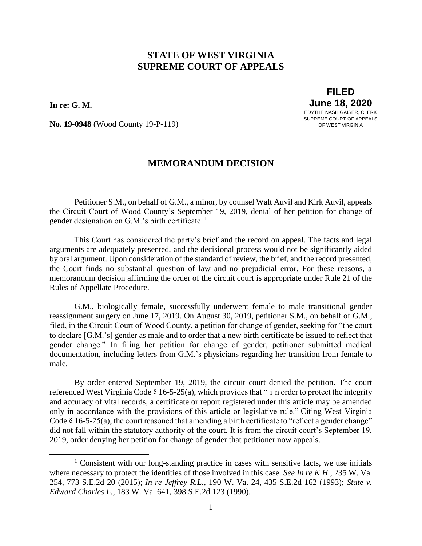## **STATE OF WEST VIRGINIA SUPREME COURT OF APPEALS**

**In re: G. M.** 

 $\overline{a}$ 

**FILED June 18, 2020** EDYTHE NASH GAISER, CLERK SUPREME COURT OF APPEALS OF WEST VIRGINIA

**No. 19-0948** (Wood County 19-P-119)

## **MEMORANDUM DECISION**

Petitioner S.M., on behalf of G.M., a minor, by counsel Walt Auvil and Kirk Auvil, appeals the Circuit Court of Wood County's September 19, 2019, denial of her petition for change of gender designation on G.M.'s birth certificate.<sup>1</sup>

This Court has considered the party's brief and the record on appeal. The facts and legal arguments are adequately presented, and the decisional process would not be significantly aided by oral argument. Upon consideration of the standard of review, the brief, and the record presented, the Court finds no substantial question of law and no prejudicial error. For these reasons, a memorandum decision affirming the order of the circuit court is appropriate under Rule 21 of the Rules of Appellate Procedure.

G.M., biologically female, successfully underwent female to male transitional gender reassignment surgery on June 17, 2019. On August 30, 2019, petitioner S.M., on behalf of G.M., filed, in the Circuit Court of Wood County, a petition for change of gender, seeking for "the court to declare [G.M.'s] gender as male and to order that a new birth certificate be issued to reflect that gender change." In filing her petition for change of gender, petitioner submitted medical documentation, including letters from G.M.'s physicians regarding her transition from female to male.

By order entered September 19, 2019, the circuit court denied the petition. The court referenced West Virginia Code  $\delta$  16-5-25(a), which provides that "[i]n order to protect the integrity and accuracy of vital records, a certificate or report registered under this article may be amended only in accordance with the provisions of this article or legislative rule." Citing West Virginia Code  $\delta$  16-5-25(a), the court reasoned that amending a birth certificate to "reflect a gender change" did not fall within the statutory authority of the court. It is from the circuit court's September 19, 2019, order denying her petition for change of gender that petitioner now appeals.

<sup>&</sup>lt;sup>1</sup> Consistent with our long-standing practice in cases with sensitive facts, we use initials where necessary to protect the identities of those involved in this case. *See In re K.H.*, 235 W. Va. 254, 773 S.E.2d 20 (2015); *In re Jeffrey R.L.*, 190 W. Va. 24, 435 S.E.2d 162 (1993); *State v. Edward Charles L.*, 183 W. Va. 641, 398 S.E.2d 123 (1990).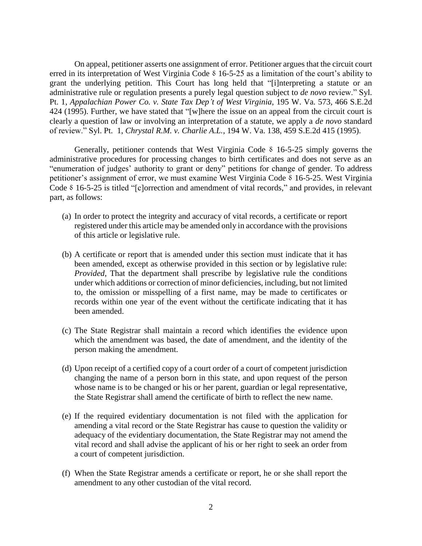On appeal, petitioner asserts one assignment of error. Petitioner argues that the circuit court erred in its interpretation of West Virginia Code  $\delta$  16-5-25 as a limitation of the court's ability to grant the underlying petition. This Court has long held that "[i]nterpreting a statute or an administrative rule or regulation presents a purely legal question subject to *de novo* review." Syl. Pt. 1, *Appalachian Power Co. v. State Tax Dep't of West Virginia*, 195 W. Va. 573, 466 S.E.2d 424 (1995). Further, we have stated that "[w]here the issue on an appeal from the circuit court is clearly a question of law or involving an interpretation of a statute, we apply a *de novo* standard of review." Syl. Pt. 1, *Chrystal R.M. v. Charlie A.L.*, 194 W. Va. 138, 459 S.E.2d 415 (1995).

Generally, petitioner contends that West Virginia Code  $\delta$  16-5-25 simply governs the administrative procedures for processing changes to birth certificates and does not serve as an "enumeration of judges' authority to grant or deny" petitions for change of gender. To address petitioner's assignment of error, we must examine West Virginia Code  $\delta$  16-5-25. West Virginia Code § 16-5-25 is titled "[c]orrection and amendment of vital records," and provides, in relevant part, as follows:

- (a) In order to protect the integrity and accuracy of vital records, a certificate or report registered under this article may be amended only in accordance with the provisions of this article or legislative rule.
- (b) A certificate or report that is amended under this section must indicate that it has been amended, except as otherwise provided in this section or by legislative rule: *Provided*, That the department shall prescribe by legislative rule the conditions under which additions or correction of minor deficiencies, including, but not limited to, the omission or misspelling of a first name, may be made to certificates or records within one year of the event without the certificate indicating that it has been amended.
- (c) The State Registrar shall maintain a record which identifies the evidence upon which the amendment was based, the date of amendment, and the identity of the person making the amendment.
- (d) Upon receipt of a certified copy of a court order of a court of competent jurisdiction changing the name of a person born in this state, and upon request of the person whose name is to be changed or his or her parent, guardian or legal representative, the State Registrar shall amend the certificate of birth to reflect the new name.
- (e) If the required evidentiary documentation is not filed with the application for amending a vital record or the State Registrar has cause to question the validity or adequacy of the evidentiary documentation, the State Registrar may not amend the vital record and shall advise the applicant of his or her right to seek an order from a court of competent jurisdiction.
- (f) When the State Registrar amends a certificate or report, he or she shall report the amendment to any other custodian of the vital record.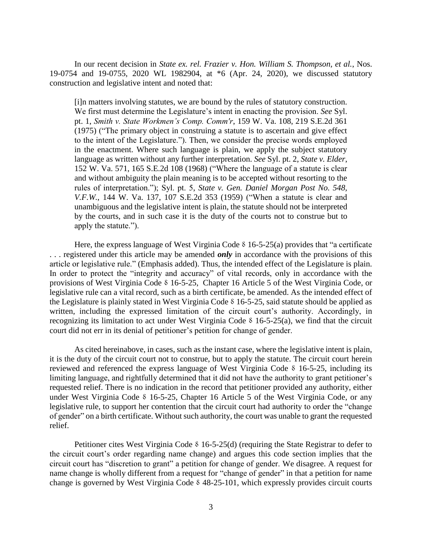In our recent decision in *State ex. rel. Frazier v. Hon. William S. Thompson, et al.*, Nos. 19-0754 and 19-0755, 2020 WL 1982904, at \*6 (Apr. 24, 2020), we discussed statutory construction and legislative intent and noted that:

[i]n matters involving statutes, we are bound by the rules of statutory construction. We first must determine the Legislature's intent in enacting the provision. *See* Syl. pt. 1, *[Smith v. State Workmen's Comp. Comm'r](https://1.next.westlaw.com/Link/Document/FullText?findType=Y&serNum=1975132284&pubNum=0000711&originatingDoc=I8f942fd088d011eaabeef54b36ec0a79&refType=RP&originationContext=document&transitionType=DocumentItem&contextData=(sc.Search))*, 159 W. Va. 108, 219 S.E.2d 361 [\(1975\)](https://1.next.westlaw.com/Link/Document/FullText?findType=Y&serNum=1975132284&pubNum=0000711&originatingDoc=I8f942fd088d011eaabeef54b36ec0a79&refType=RP&originationContext=document&transitionType=DocumentItem&contextData=(sc.Search)) ("The primary object in construing a statute is to ascertain and give effect to the intent of the Legislature."). Then, we consider the precise words employed in the enactment. Where such language is plain, we apply the subject statutory language as written without any further interpretation. *See* Syl. pt. 2, *[State v. Elder](https://1.next.westlaw.com/Link/Document/FullText?findType=Y&serNum=1968133086&pubNum=0000711&originatingDoc=I8f942fd088d011eaabeef54b36ec0a79&refType=RP&originationContext=document&transitionType=DocumentItem&contextData=(sc.Search))*, [152 W. Va. 571, 165 S.E.2d 108 \(1968\)](https://1.next.westlaw.com/Link/Document/FullText?findType=Y&serNum=1968133086&pubNum=0000711&originatingDoc=I8f942fd088d011eaabeef54b36ec0a79&refType=RP&originationContext=document&transitionType=DocumentItem&contextData=(sc.Search)) ("Where the language of a statute is clear and without ambiguity the plain meaning is to be accepted without resorting to the rules of interpretation."); Syl. pt. 5, *[State v. Gen. Daniel Morgan Post No. 548,](https://1.next.westlaw.com/Link/Document/FullText?findType=Y&serNum=1959124259&pubNum=0000711&originatingDoc=I8f942fd088d011eaabeef54b36ec0a79&refType=RP&originationContext=document&transitionType=DocumentItem&contextData=(sc.Search))  V.F.W.*[, 144 W. Va. 137, 107 S.E.2d 353 \(1959\)](https://1.next.westlaw.com/Link/Document/FullText?findType=Y&serNum=1959124259&pubNum=0000711&originatingDoc=I8f942fd088d011eaabeef54b36ec0a79&refType=RP&originationContext=document&transitionType=DocumentItem&contextData=(sc.Search)) ("When a statute is clear and unambiguous and the legislative intent is plain, the statute should not be interpreted by the courts, and in such case it is the duty of the courts not to construe but to apply the statute.").

Here, the express language of West Virginia Code  $\delta$  16-5-25(a) provides that "a certificate . . . registered under this article may be amended *only* in accordance with the provisions of this article or legislative rule." (Emphasis added). Thus, the intended effect of the Legislature is plain. In order to protect the "integrity and accuracy" of vital records, only in accordance with the provisions of West Virginia Code & 16-5-25, Chapter 16 Article 5 of the West Virginia Code, or legislative rule can a vital record, such as a birth certificate, be amended. As the intended effect of the Legislature is plainly stated in West Virginia Code  $\delta$  16-5-25, said statute should be applied as written, including the expressed limitation of the circuit court's authority. Accordingly, in recognizing its limitation to act under West Virginia Code  $\delta$  16-5-25(a), we find that the circuit court did not err in its denial of petitioner's petition for change of gender.

As cited hereinabove, in cases, such as the instant case, where the legislative intent is plain, it is the duty of the circuit court not to construe, but to apply the statute. The circuit court herein reviewed and referenced the express language of West Virginia Code  $\delta$  16-5-25, including its limiting language, and rightfully determined that it did not have the authority to grant petitioner's requested relief. There is no indication in the record that petitioner provided any authority, either under West Virginia Code & 16-5-25, Chapter 16 Article 5 of the West Virginia Code, or any legislative rule, to support her contention that the circuit court had authority to order the "change of gender" on a birth certificate. Without such authority, the court was unable to grant the requested relief.

Petitioner cites West Virginia Code  $\delta$  16-5-25(d) (requiring the State Registrar to defer to the circuit court's order regarding name change) and argues this code section implies that the circuit court has "discretion to grant" a petition for change of gender. We disagree. A request for name change is wholly different from a request for "change of gender" in that a petition for name change is governed by West Virginia Code  $\delta$  48-25-101, which expressly provides circuit courts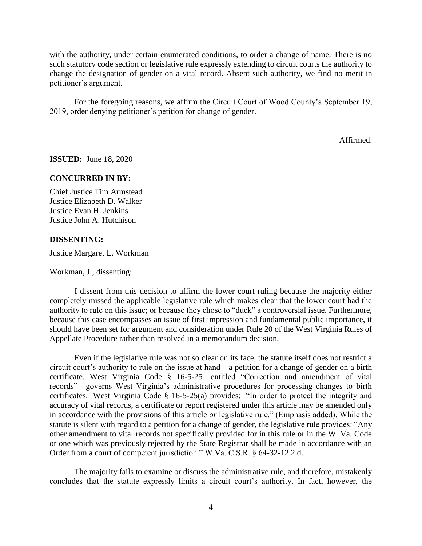with the authority, under certain enumerated conditions, to order a change of name. There is no such statutory code section or legislative rule expressly extending to circuit courts the authority to change the designation of gender on a vital record. Absent such authority, we find no merit in petitioner's argument.

For the foregoing reasons, we affirm the Circuit Court of Wood County's September 19, 2019, order denying petitioner's petition for change of gender.

Affirmed.

**ISSUED:** June 18, 2020

## **CONCURRED IN BY:**

Chief Justice Tim Armstead Justice Elizabeth D. Walker Justice Evan H. Jenkins Justice John A. Hutchison

## **DISSENTING:**

Justice Margaret L. Workman

Workman, J., dissenting:

I dissent from this decision to affirm the lower court ruling because the majority either completely missed the applicable legislative rule which makes clear that the lower court had the authority to rule on this issue; or because they chose to "duck" a controversial issue. Furthermore, because this case encompasses an issue of first impression and fundamental public importance, it should have been set for argument and consideration under Rule 20 of the West Virginia Rules of Appellate Procedure rather than resolved in a memorandum decision.

Even if the legislative rule was not so clear on its face, the statute itself does not restrict a circuit court's authority to rule on the issue at hand—a petition for a change of gender on a birth certificate. West Virginia Code § 16-5-25—entitled "Correction and amendment of vital records"—governs West Virginia's administrative procedures for processing changes to birth certificates. West Virginia Code § 16-5-25(a) provides: "In order to protect the integrity and accuracy of vital records, a certificate or report registered under this article may be amended only in accordance with the provisions of this article *or* legislative rule." (Emphasis added). While the statute is silent with regard to a petition for a change of gender, the legislative rule provides: "Any other amendment to vital records not specifically provided for in this rule or in the W. Va. Code or one which was previously rejected by the State Registrar shall be made in accordance with an Order from a court of competent jurisdiction." W.Va. C.S.R. § 64-32-12.2.d.

The majority fails to examine or discuss the administrative rule, and therefore, mistakenly concludes that the statute expressly limits a circuit court's authority. In fact, however, the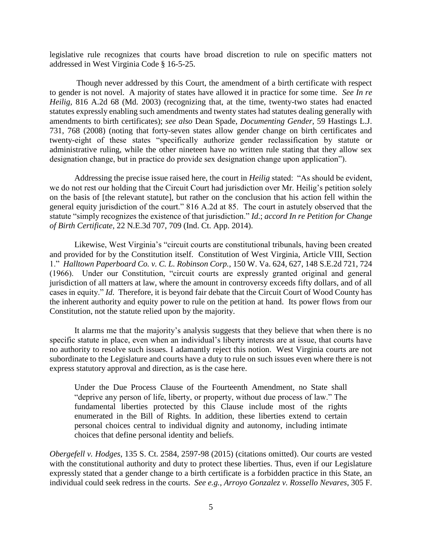legislative rule recognizes that courts have broad discretion to rule on specific matters not addressed in West Virginia Code § 16-5-25.

Though never addressed by this Court, the amendment of a birth certificate with respect to gender is not novel. A majority of states have allowed it in practice for some time. *See In re Heilig,* 816 A.2d 68 (Md. 2003) (recognizing that, at the time, twenty-two states had enacted statutes expressly enabling such amendments and twenty states had statutes dealing generally with amendments to birth certificates); *see also* Dean Spade, *Documenting Gender,* 59 Hastings L.J. 731, 768 (2008) (noting that forty-seven states allow gender change on birth certificates and twenty-eight of these states "specifically authorize gender reclassification by statute or administrative ruling, while the other nineteen have no written rule stating that they allow sex designation change, but in practice do provide sex designation change upon application").

Addressing the precise issue raised here, the court in *Heilig* stated: "As should be evident, we do not rest our holding that the Circuit Court had jurisdiction over Mr. Heilig's petition solely on the basis of [the relevant statute], but rather on the conclusion that his action fell within the general equity jurisdiction of the court." 816 A.2d at 85. The court in astutely observed that the statute "simply recognizes the existence of that jurisdiction." *Id*.; *accord In re Petition for Change of Birth Certificate*, 22 N.E.3d 707, 709 (Ind. Ct. App. 2014).

Likewise, West Virginia's "circuit courts are constitutional tribunals, having been created and provided for by the Constitution itself. Constitution of West Virginia, Article VIII, Section 1." *Halltown Paperboard Co. v. C. L. Robinson Corp.*, 150 W. Va. 624, 627, 148 S.E.2d 721, 724 (1966). Under our Constitution, "circuit courts are expressly granted original and general jurisdiction of all matters at law, where the amount in controversy exceeds fifty dollars, and of all cases in equity." *Id*. Therefore, it is beyond fair debate that the Circuit Court of Wood County has the inherent authority and equity power to rule on the petition at hand. Its power flows from our Constitution, not the statute relied upon by the majority.

It alarms me that the majority's analysis suggests that they believe that when there is no specific statute in place, even when an individual's liberty interests are at issue, that courts have no authority to resolve such issues. I adamantly reject this notion. West Virginia courts are not subordinate to the Legislature and courts have a duty to rule on such issues even where there is not express statutory approval and direction, as is the case here.

Under the Due Process Clause of the Fourteenth Amendment, no State shall "deprive any person of life, liberty, or property, without due process of law." The fundamental liberties protected by this Clause include most of the rights enumerated in the Bill of Rights. In addition, these liberties extend to certain personal choices central to individual dignity and autonomy, including intimate choices that define personal identity and beliefs.

*Obergefell v. Hodges*, 135 S. Ct. 2584, 2597-98 (2015) (citations omitted). Our courts are vested with the constitutional authority and duty to protect these liberties. Thus, even if our Legislature expressly stated that a gender change to a birth certificate is a forbidden practice in this State, an individual could seek redress in the courts. *See e.g., Arroyo Gonzalez v. Rossello Nevares*, 305 F.